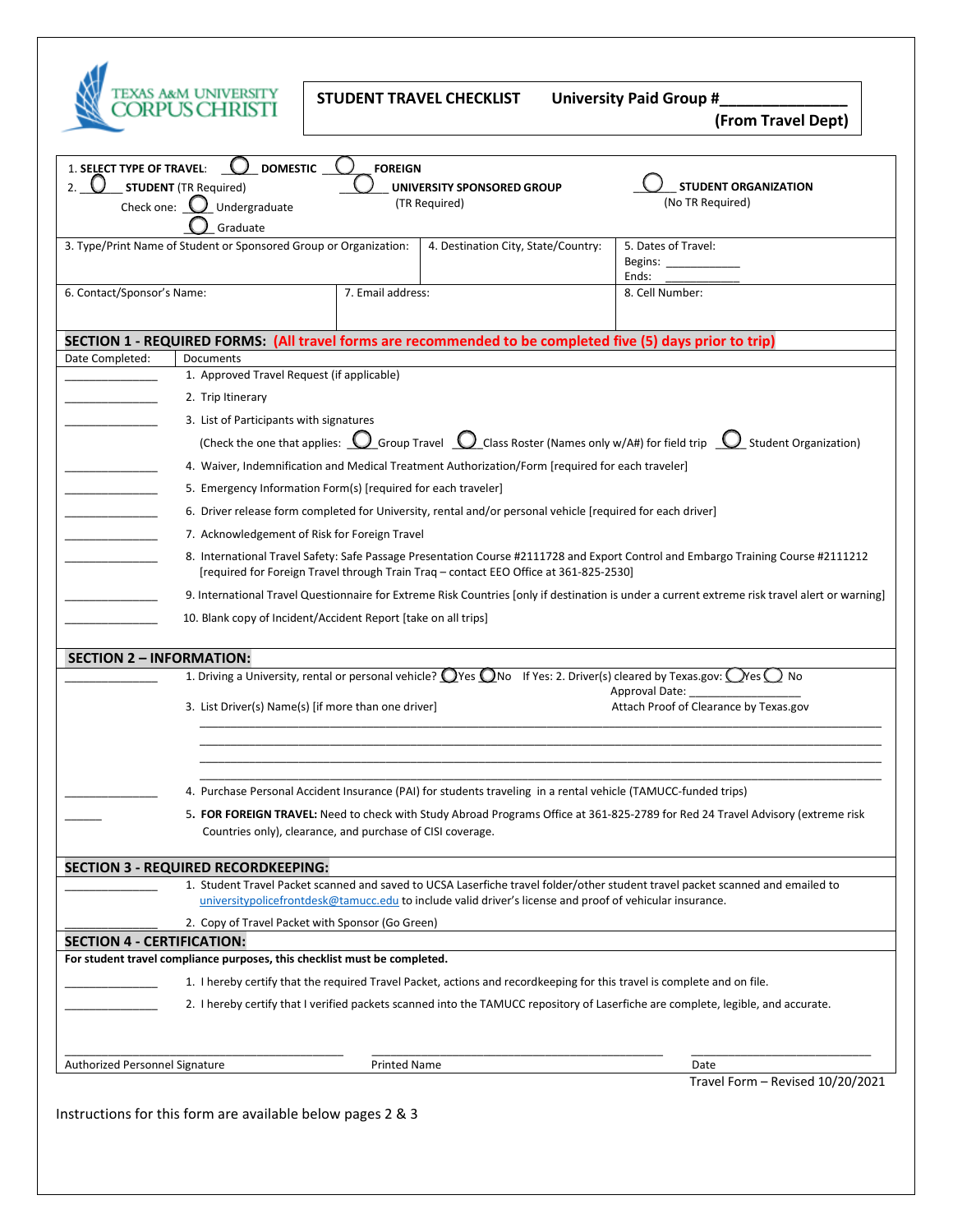

STUDENT TRAVEL CHECKLIST University Paid Group #\_

 **(From Travel Dept)**

| 1. SELECT TYPE OF TRAVEL:<br>2.                                                                                                                                                                                                            | <b>DOMESTIC</b><br><b>STUDENT</b> (TR Required)                                                                                                                                               | <b>FOREIGN</b>                                                                                                                                                                                                                                                                                                                                                                                                                                             | UNIVERSITY SPONSORED GROUP                                                                                              | <b>STUDENT ORGANIZATION</b>                                                                                                       |  |
|--------------------------------------------------------------------------------------------------------------------------------------------------------------------------------------------------------------------------------------------|-----------------------------------------------------------------------------------------------------------------------------------------------------------------------------------------------|------------------------------------------------------------------------------------------------------------------------------------------------------------------------------------------------------------------------------------------------------------------------------------------------------------------------------------------------------------------------------------------------------------------------------------------------------------|-------------------------------------------------------------------------------------------------------------------------|-----------------------------------------------------------------------------------------------------------------------------------|--|
| Check one: $\bigcup$                                                                                                                                                                                                                       | Undergraduate<br>Graduate                                                                                                                                                                     |                                                                                                                                                                                                                                                                                                                                                                                                                                                            | (TR Required)                                                                                                           | (No TR Required)                                                                                                                  |  |
|                                                                                                                                                                                                                                            | 3. Type/Print Name of Student or Sponsored Group or Organization:                                                                                                                             |                                                                                                                                                                                                                                                                                                                                                                                                                                                            | 4. Destination City, State/Country:                                                                                     | 5. Dates of Travel:<br>Begins: ______<br>Ends:                                                                                    |  |
| 6. Contact/Sponsor's Name:                                                                                                                                                                                                                 |                                                                                                                                                                                               | 7. Email address:                                                                                                                                                                                                                                                                                                                                                                                                                                          |                                                                                                                         | 8. Cell Number:                                                                                                                   |  |
|                                                                                                                                                                                                                                            |                                                                                                                                                                                               |                                                                                                                                                                                                                                                                                                                                                                                                                                                            | SECTION 1 - REQUIRED FORMS: (All travel forms are recommended to be completed five (5) days prior to trip)              |                                                                                                                                   |  |
| Date Completed:                                                                                                                                                                                                                            | Documents                                                                                                                                                                                     | 1. Approved Travel Request (if applicable)                                                                                                                                                                                                                                                                                                                                                                                                                 |                                                                                                                         |                                                                                                                                   |  |
|                                                                                                                                                                                                                                            |                                                                                                                                                                                               |                                                                                                                                                                                                                                                                                                                                                                                                                                                            |                                                                                                                         |                                                                                                                                   |  |
|                                                                                                                                                                                                                                            | 2. Trip Itinerary                                                                                                                                                                             |                                                                                                                                                                                                                                                                                                                                                                                                                                                            |                                                                                                                         |                                                                                                                                   |  |
|                                                                                                                                                                                                                                            |                                                                                                                                                                                               | 3. List of Participants with signatures<br>(Check the one that applies: $\bigcup$ Group Travel $\bigcup$ Class Roster (Names only w/A#) for field trip $\bigcup$ Student Organization)                                                                                                                                                                                                                                                                     |                                                                                                                         |                                                                                                                                   |  |
|                                                                                                                                                                                                                                            |                                                                                                                                                                                               |                                                                                                                                                                                                                                                                                                                                                                                                                                                            |                                                                                                                         |                                                                                                                                   |  |
|                                                                                                                                                                                                                                            |                                                                                                                                                                                               | 4. Waiver, Indemnification and Medical Treatment Authorization/Form [required for each traveler]                                                                                                                                                                                                                                                                                                                                                           |                                                                                                                         |                                                                                                                                   |  |
|                                                                                                                                                                                                                                            |                                                                                                                                                                                               | 5. Emergency Information Form(s) [required for each traveler]<br>6. Driver release form completed for University, rental and/or personal vehicle [required for each driver]<br>7. Acknowledgement of Risk for Foreign Travel<br>8. International Travel Safety: Safe Passage Presentation Course #2111728 and Export Control and Embargo Training Course #2111212<br>[required for Foreign Travel through Train Traq - contact EEO Office at 361-825-2530] |                                                                                                                         |                                                                                                                                   |  |
|                                                                                                                                                                                                                                            |                                                                                                                                                                                               |                                                                                                                                                                                                                                                                                                                                                                                                                                                            |                                                                                                                         |                                                                                                                                   |  |
|                                                                                                                                                                                                                                            |                                                                                                                                                                                               |                                                                                                                                                                                                                                                                                                                                                                                                                                                            |                                                                                                                         |                                                                                                                                   |  |
|                                                                                                                                                                                                                                            |                                                                                                                                                                                               |                                                                                                                                                                                                                                                                                                                                                                                                                                                            |                                                                                                                         |                                                                                                                                   |  |
|                                                                                                                                                                                                                                            | 9. International Travel Questionnaire for Extreme Risk Countries [only if destination is under a current extreme risk travel alert or warning]                                                |                                                                                                                                                                                                                                                                                                                                                                                                                                                            |                                                                                                                         |                                                                                                                                   |  |
|                                                                                                                                                                                                                                            | 10. Blank copy of Incident/Accident Report [take on all trips]                                                                                                                                |                                                                                                                                                                                                                                                                                                                                                                                                                                                            |                                                                                                                         |                                                                                                                                   |  |
| SECTION 2 – INFORMATION:                                                                                                                                                                                                                   |                                                                                                                                                                                               |                                                                                                                                                                                                                                                                                                                                                                                                                                                            |                                                                                                                         |                                                                                                                                   |  |
|                                                                                                                                                                                                                                            |                                                                                                                                                                                               |                                                                                                                                                                                                                                                                                                                                                                                                                                                            | 1. Driving a University, rental or personal vehicle? Oves ONo If Yes: 2. Driver(s) cleared by Texas.gov: Oves ONO       |                                                                                                                                   |  |
|                                                                                                                                                                                                                                            | 3. List Driver(s) Name(s) [if more than one driver]                                                                                                                                           |                                                                                                                                                                                                                                                                                                                                                                                                                                                            |                                                                                                                         | Approval Date:<br>Attach Proof of Clearance by Texas.gov                                                                          |  |
|                                                                                                                                                                                                                                            |                                                                                                                                                                                               |                                                                                                                                                                                                                                                                                                                                                                                                                                                            |                                                                                                                         |                                                                                                                                   |  |
|                                                                                                                                                                                                                                            | 4. Purchase Personal Accident Insurance (PAI) for students traveling in a rental vehicle (TAMUCC-funded trips)                                                                                |                                                                                                                                                                                                                                                                                                                                                                                                                                                            |                                                                                                                         |                                                                                                                                   |  |
|                                                                                                                                                                                                                                            | 5. FOR FOREIGN TRAVEL: Need to check with Study Abroad Programs Office at 361-825-2789 for Red 24 Travel Advisory (extreme risk<br>Countries only), clearance, and purchase of CISI coverage. |                                                                                                                                                                                                                                                                                                                                                                                                                                                            |                                                                                                                         |                                                                                                                                   |  |
|                                                                                                                                                                                                                                            | <b>SECTION 3 - REQUIRED RECORDKEEPING:</b>                                                                                                                                                    |                                                                                                                                                                                                                                                                                                                                                                                                                                                            |                                                                                                                         |                                                                                                                                   |  |
| 1. Student Travel Packet scanned and saved to UCSA Laserfiche travel folder/other student travel packet scanned and emailed to<br>universitypolicefrontdesk@tamucc.edu to include valid driver's license and proof of vehicular insurance. |                                                                                                                                                                                               |                                                                                                                                                                                                                                                                                                                                                                                                                                                            |                                                                                                                         |                                                                                                                                   |  |
|                                                                                                                                                                                                                                            | 2. Copy of Travel Packet with Sponsor (Go Green)                                                                                                                                              |                                                                                                                                                                                                                                                                                                                                                                                                                                                            |                                                                                                                         |                                                                                                                                   |  |
| <b>SECTION 4 - CERTIFICATION:</b>                                                                                                                                                                                                          |                                                                                                                                                                                               |                                                                                                                                                                                                                                                                                                                                                                                                                                                            |                                                                                                                         |                                                                                                                                   |  |
|                                                                                                                                                                                                                                            | For student travel compliance purposes, this checklist must be completed.                                                                                                                     |                                                                                                                                                                                                                                                                                                                                                                                                                                                            |                                                                                                                         |                                                                                                                                   |  |
|                                                                                                                                                                                                                                            |                                                                                                                                                                                               |                                                                                                                                                                                                                                                                                                                                                                                                                                                            | 1. I hereby certify that the required Travel Packet, actions and recordkeeping for this travel is complete and on file. |                                                                                                                                   |  |
|                                                                                                                                                                                                                                            |                                                                                                                                                                                               |                                                                                                                                                                                                                                                                                                                                                                                                                                                            |                                                                                                                         | 2. I hereby certify that I verified packets scanned into the TAMUCC repository of Laserfiche are complete, legible, and accurate. |  |
| Authorized Personnel Signature                                                                                                                                                                                                             |                                                                                                                                                                                               | <b>Printed Name</b>                                                                                                                                                                                                                                                                                                                                                                                                                                        |                                                                                                                         | Date                                                                                                                              |  |
|                                                                                                                                                                                                                                            |                                                                                                                                                                                               |                                                                                                                                                                                                                                                                                                                                                                                                                                                            |                                                                                                                         |                                                                                                                                   |  |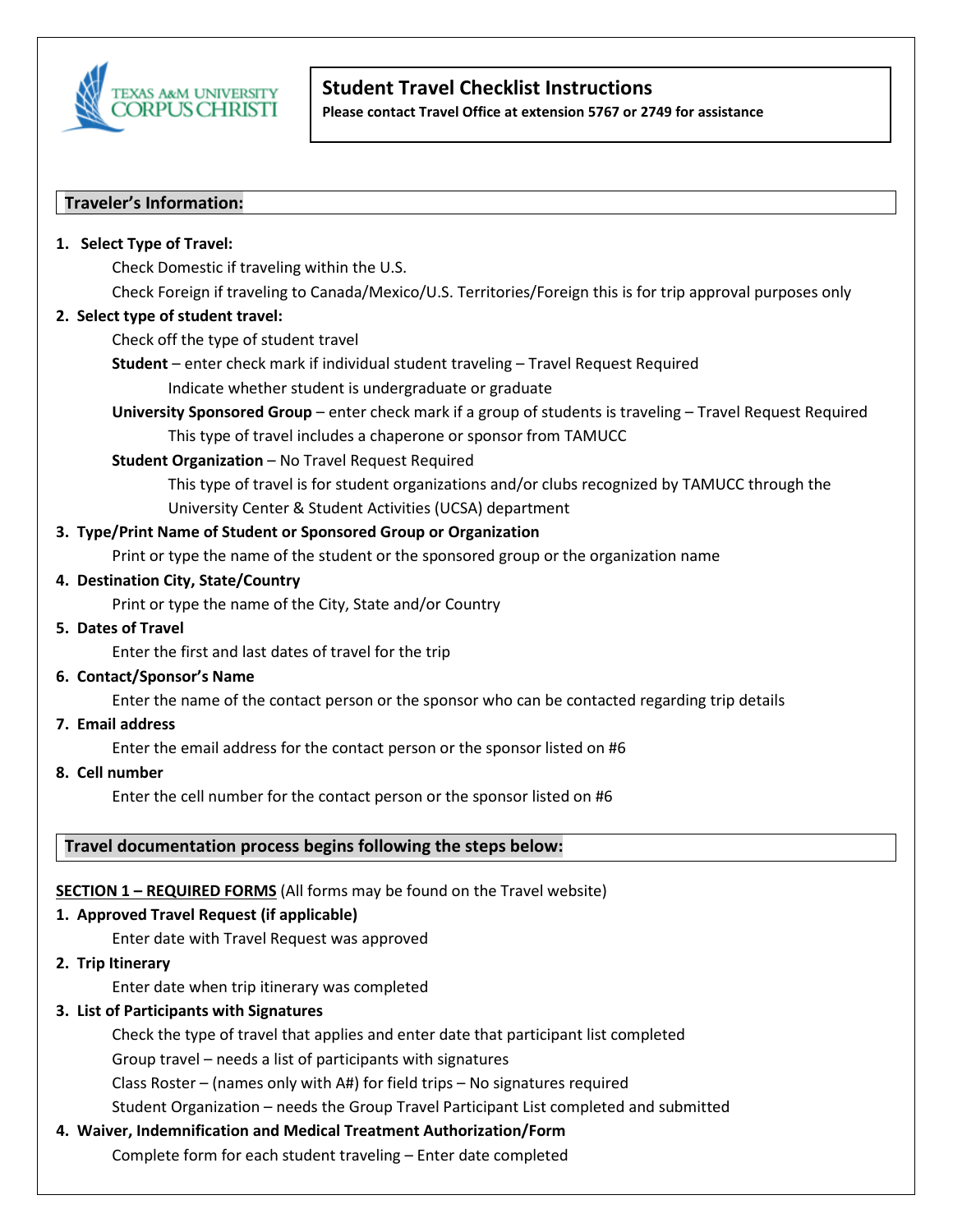

# **Student Travel Checklist Instructions**

**Please contact Travel Office at extension 5767 or 2749 for assistance**

### **Traveler's Information:**

#### **1. Select Type of Travel:**

Check Domestic if traveling within the U.S.

Check Foreign if traveling to Canada/Mexico/U.S. Territories/Foreign this is for trip approval purposes only

#### **2. Select type of student travel:**

Check off the type of student travel

**Student** – enter check mark if individual student traveling – Travel Request Required Indicate whether student is undergraduate or graduate

**University Sponsored Group** – enter check mark if a group of students is traveling – Travel Request Required This type of travel includes a chaperone or sponsor from TAMUCC

### **Student Organization** - No Travel Request Required

This type of travel is for student organizations and/or clubs recognized by TAMUCC through the University Center & Student Activities (UCSA) department

#### **3. Type/Print Name of Student or Sponsored Group or Organization**

Print or type the name of the student or the sponsored group or the organization name

#### **4. Destination City, State/Country**

Print or type the name of the City, State and/or Country

#### **5. Dates of Travel**

Enter the first and last dates of travel for the trip

#### **6. Contact/Sponsor's Name**

Enter the name of the contact person or the sponsor who can be contacted regarding trip details

**7. Email address**

Enter the email address for the contact person or the sponsor listed on #6

**8. Cell number**

Enter the cell number for the contact person or the sponsor listed on #6

### **Travel documentation process begins following the steps below:**

### **SECTION 1 – REQUIRED FORMS** (All forms may be found on the Travel website)

### **1. Approved Travel Request (if applicable)**

Enter date with Travel Request was approved

**2. Trip Itinerary**

Enter date when trip itinerary was completed

### **3. List of Participants with Signatures**

Check the type of travel that applies and enter date that participant list completed

Group travel – needs a list of participants with signatures

Class Roster – (names only with A#) for field trips – No signatures required

Student Organization – needs the Group Travel Participant List completed and submitted

# **4. Waiver, Indemnification and Medical Treatment Authorization/Form**

Complete form for each student traveling – Enter date completed